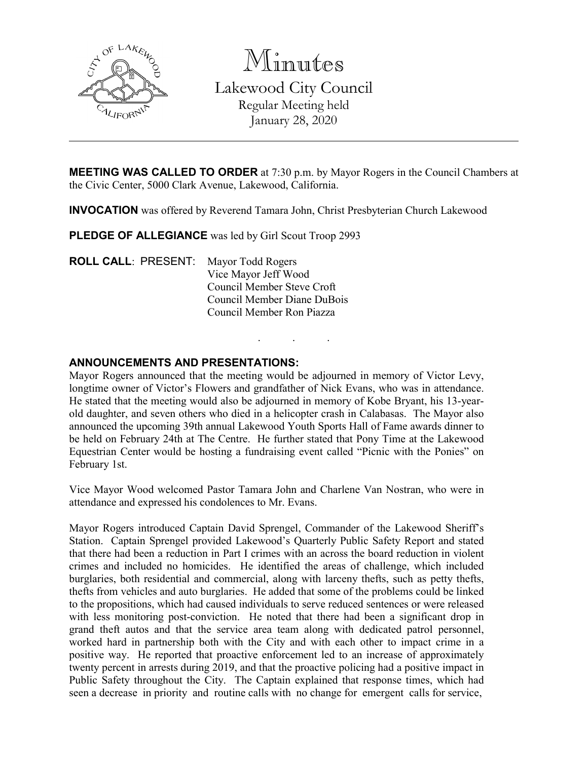

Minutes Lakewood City Council Regular Meeting held January 28, 2020

**MEETING WAS CALLED TO ORDER** at 7:30 p.m. by Mayor Rogers in the Council Chambers at the Civic Center, 5000 Clark Avenue, Lakewood, California.

**INVOCATION** was offered by Reverend Tamara John, Christ Presbyterian Church Lakewood

**PLEDGE OF ALLEGIANCE** was led by Girl Scout Troop 2993

**ROLL CALL**: PRESENT: Mayor Todd Rogers Vice Mayor Jeff Wood Council Member Steve Croft Council Member Diane DuBois Council Member Ron Piazza

### **ANNOUNCEMENTS AND PRESENTATIONS:**

Mayor Rogers announced that the meeting would be adjourned in memory of Victor Levy, longtime owner of Victor's Flowers and grandfather of Nick Evans, who was in attendance. He stated that the meeting would also be adjourned in memory of Kobe Bryant, his 13-yearold daughter, and seven others who died in a helicopter crash in Calabasas. The Mayor also announced the upcoming 39th annual Lakewood Youth Sports Hall of Fame awards dinner to be held on February 24th at The Centre. He further stated that Pony Time at the Lakewood Equestrian Center would be hosting a fundraising event called "Picnic with the Ponies" on February 1st.

. . .

Vice Mayor Wood welcomed Pastor Tamara John and Charlene Van Nostran, who were in attendance and expressed his condolences to Mr. Evans.

Mayor Rogers introduced Captain David Sprengel, Commander of the Lakewood Sheriff's Station. Captain Sprengel provided Lakewood's Quarterly Public Safety Report and stated that there had been a reduction in Part I crimes with an across the board reduction in violent crimes and included no homicides. He identified the areas of challenge, which included burglaries, both residential and commercial, along with larceny thefts, such as petty thefts, thefts from vehicles and auto burglaries. He added that some of the problems could be linked to the propositions, which had caused individuals to serve reduced sentences or were released with less monitoring post-conviction. He noted that there had been a significant drop in grand theft autos and that the service area team along with dedicated patrol personnel, worked hard in partnership both with the City and with each other to impact crime in a positive way. He reported that proactive enforcement led to an increase of approximately twenty percent in arrests during 2019, and that the proactive policing had a positive impact in Public Safety throughout the City. The Captain explained that response times, which had seen a decrease in priority and routine calls with no change for emergent calls for service,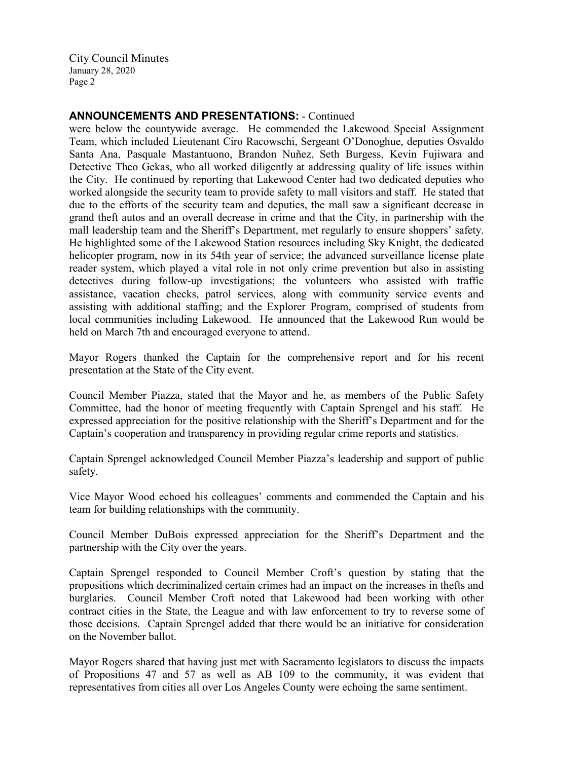### **ANNOUNCEMENTS AND PRESENTATIONS:** - Continued

were below the countywide average. He commended the Lakewood Special Assignment Team, which included Lieutenant Ciro Racowschi, Sergeant O'Donoghue, deputies Osvaldo Santa Ana, Pasquale Mastantuono, Brandon Nuñez, Seth Burgess, Kevin Fujiwara and Detective Theo Gekas, who all worked diligently at addressing quality of life issues within the City. He continued by reporting that Lakewood Center had two dedicated deputies who worked alongside the security team to provide safety to mall visitors and staff. He stated that due to the efforts of the security team and deputies, the mall saw a significant decrease in grand theft autos and an overall decrease in crime and that the City, in partnership with the mall leadership team and the Sheriff's Department, met regularly to ensure shoppers' safety. He highlighted some of the Lakewood Station resources including Sky Knight, the dedicated helicopter program, now in its 54th year of service; the advanced surveillance license plate reader system, which played a vital role in not only crime prevention but also in assisting detectives during follow-up investigations; the volunteers who assisted with traffic assistance, vacation checks, patrol services, along with community service events and assisting with additional staffing; and the Explorer Program, comprised of students from local communities including Lakewood. He announced that the Lakewood Run would be held on March 7th and encouraged everyone to attend.

Mayor Rogers thanked the Captain for the comprehensive report and for his recent presentation at the State of the City event.

Council Member Piazza, stated that the Mayor and he, as members of the Public Safety Committee, had the honor of meeting frequently with Captain Sprengel and his staff. He expressed appreciation for the positive relationship with the Sheriff's Department and for the Captain's cooperation and transparency in providing regular crime reports and statistics.

Captain Sprengel acknowledged Council Member Piazza's leadership and support of public safety.

Vice Mayor Wood echoed his colleagues' comments and commended the Captain and his team for building relationships with the community.

Council Member DuBois expressed appreciation for the Sheriff's Department and the partnership with the City over the years.

Captain Sprengel responded to Council Member Croft's question by stating that the propositions which decriminalized certain crimes had an impact on the increases in thefts and burglaries. Council Member Croft noted that Lakewood had been working with other contract cities in the State, the League and with law enforcement to try to reverse some of those decisions. Captain Sprengel added that there would be an initiative for consideration on the November ballot.

Mayor Rogers shared that having just met with Sacramento legislators to discuss the impacts of Propositions 47 and 57 as well as AB 109 to the community, it was evident that representatives from cities all over Los Angeles County were echoing the same sentiment.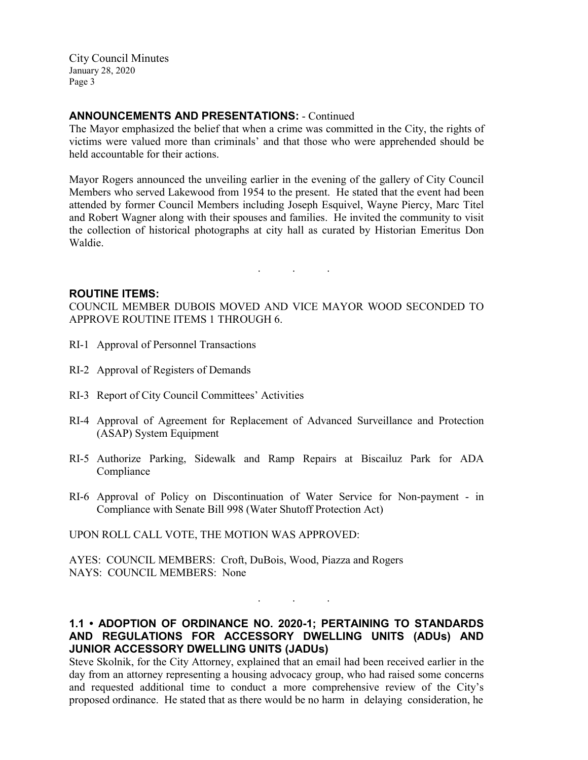#### **ANNOUNCEMENTS AND PRESENTATIONS:** - Continued

The Mayor emphasized the belief that when a crime was committed in the City, the rights of victims were valued more than criminals' and that those who were apprehended should be held accountable for their actions.

Mayor Rogers announced the unveiling earlier in the evening of the gallery of City Council Members who served Lakewood from 1954 to the present. He stated that the event had been attended by former Council Members including Joseph Esquivel, Wayne Piercy, Marc Titel and Robert Wagner along with their spouses and families. He invited the community to visit the collection of historical photographs at city hall as curated by Historian Emeritus Don Waldie.

### **ROUTINE ITEMS:**

COUNCIL MEMBER DUBOIS MOVED AND VICE MAYOR WOOD SECONDED TO APPROVE ROUTINE ITEMS 1 THROUGH 6.

. . .

- RI-1 Approval of Personnel Transactions
- RI-2 Approval of Registers of Demands
- RI-3 Report of City Council Committees' Activities
- RI-4 Approval of Agreement for Replacement of Advanced Surveillance and Protection (ASAP) System Equipment
- RI-5 Authorize Parking, Sidewalk and Ramp Repairs at Biscailuz Park for ADA Compliance
- RI-6 Approval of Policy on Discontinuation of Water Service for Non-payment in Compliance with Senate Bill 998 (Water Shutoff Protection Act)

UPON ROLL CALL VOTE, THE MOTION WAS APPROVED:

AYES: COUNCIL MEMBERS: Croft, DuBois, Wood, Piazza and Rogers NAYS: COUNCIL MEMBERS: None

### **1.1 • ADOPTION OF ORDINANCE NO. 2020-1; PERTAINING TO STANDARDS AND REGULATIONS FOR ACCESSORY DWELLING UNITS (ADUs) AND JUNIOR ACCESSORY DWELLING UNITS (JADUs)**

. . .

Steve Skolnik, for the City Attorney, explained that an email had been received earlier in the day from an attorney representing a housing advocacy group, who had raised some concerns and requested additional time to conduct a more comprehensive review of the City's proposed ordinance. He stated that as there would be no harm in delaying consideration, he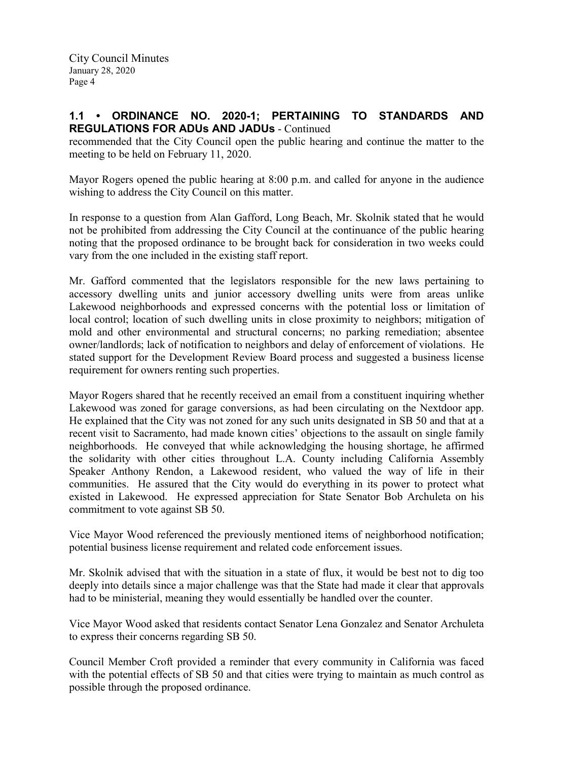## **1.1 • ORDINANCE NO. 2020-1; PERTAINING TO STANDARDS AND REGULATIONS FOR ADUs AND JADUs** - Continued

recommended that the City Council open the public hearing and continue the matter to the meeting to be held on February 11, 2020.

Mayor Rogers opened the public hearing at 8:00 p.m. and called for anyone in the audience wishing to address the City Council on this matter.

In response to a question from Alan Gafford, Long Beach, Mr. Skolnik stated that he would not be prohibited from addressing the City Council at the continuance of the public hearing noting that the proposed ordinance to be brought back for consideration in two weeks could vary from the one included in the existing staff report.

Mr. Gafford commented that the legislators responsible for the new laws pertaining to accessory dwelling units and junior accessory dwelling units were from areas unlike Lakewood neighborhoods and expressed concerns with the potential loss or limitation of local control; location of such dwelling units in close proximity to neighbors; mitigation of mold and other environmental and structural concerns; no parking remediation; absentee owner/landlords; lack of notification to neighbors and delay of enforcement of violations. He stated support for the Development Review Board process and suggested a business license requirement for owners renting such properties.

Mayor Rogers shared that he recently received an email from a constituent inquiring whether Lakewood was zoned for garage conversions, as had been circulating on the Nextdoor app. He explained that the City was not zoned for any such units designated in SB 50 and that at a recent visit to Sacramento, had made known cities' objections to the assault on single family neighborhoods. He conveyed that while acknowledging the housing shortage, he affirmed the solidarity with other cities throughout L.A. County including California Assembly Speaker Anthony Rendon, a Lakewood resident, who valued the way of life in their communities. He assured that the City would do everything in its power to protect what existed in Lakewood. He expressed appreciation for State Senator Bob Archuleta on his commitment to vote against SB 50.

Vice Mayor Wood referenced the previously mentioned items of neighborhood notification; potential business license requirement and related code enforcement issues.

Mr. Skolnik advised that with the situation in a state of flux, it would be best not to dig too deeply into details since a major challenge was that the State had made it clear that approvals had to be ministerial, meaning they would essentially be handled over the counter.

Vice Mayor Wood asked that residents contact Senator Lena Gonzalez and Senator Archuleta to express their concerns regarding SB 50.

Council Member Croft provided a reminder that every community in California was faced with the potential effects of SB 50 and that cities were trying to maintain as much control as possible through the proposed ordinance.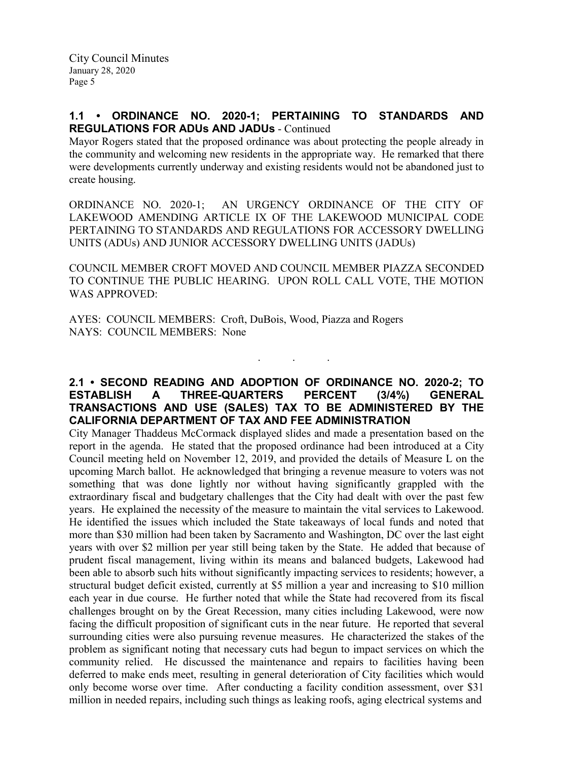## **1.1 • ORDINANCE NO. 2020-1; PERTAINING TO STANDARDS AND REGULATIONS FOR ADUs AND JADUs** - Continued

Mayor Rogers stated that the proposed ordinance was about protecting the people already in the community and welcoming new residents in the appropriate way. He remarked that there were developments currently underway and existing residents would not be abandoned just to create housing.

ORDINANCE NO. 2020-1; AN URGENCY ORDINANCE OF THE CITY OF LAKEWOOD AMENDING ARTICLE IX OF THE LAKEWOOD MUNICIPAL CODE PERTAINING TO STANDARDS AND REGULATIONS FOR ACCESSORY DWELLING UNITS (ADUs) AND JUNIOR ACCESSORY DWELLING UNITS (JADUs)

COUNCIL MEMBER CROFT MOVED AND COUNCIL MEMBER PIAZZA SECONDED TO CONTINUE THE PUBLIC HEARING. UPON ROLL CALL VOTE, THE MOTION WAS APPROVED:

AYES: COUNCIL MEMBERS: Croft, DuBois, Wood, Piazza and Rogers NAYS: COUNCIL MEMBERS: None

**2.1 • SECOND READING AND ADOPTION OF ORDINANCE NO. 2020-2; TO ESTABLISH A THREE-QUARTERS PERCENT (3/4%) GENERAL TRANSACTIONS AND USE (SALES) TAX TO BE ADMINISTERED BY THE CALIFORNIA DEPARTMENT OF TAX AND FEE ADMINISTRATION**

. . .

City Manager Thaddeus McCormack displayed slides and made a presentation based on the report in the agenda. He stated that the proposed ordinance had been introduced at a City Council meeting held on November 12, 2019, and provided the details of Measure L on the upcoming March ballot. He acknowledged that bringing a revenue measure to voters was not something that was done lightly nor without having significantly grappled with the extraordinary fiscal and budgetary challenges that the City had dealt with over the past few years. He explained the necessity of the measure to maintain the vital services to Lakewood. He identified the issues which included the State takeaways of local funds and noted that more than \$30 million had been taken by Sacramento and Washington, DC over the last eight years with over \$2 million per year still being taken by the State. He added that because of prudent fiscal management, living within its means and balanced budgets, Lakewood had been able to absorb such hits without significantly impacting services to residents; however, a structural budget deficit existed, currently at \$5 million a year and increasing to \$10 million each year in due course. He further noted that while the State had recovered from its fiscal challenges brought on by the Great Recession, many cities including Lakewood, were now facing the difficult proposition of significant cuts in the near future. He reported that several surrounding cities were also pursuing revenue measures. He characterized the stakes of the problem as significant noting that necessary cuts had begun to impact services on which the community relied. He discussed the maintenance and repairs to facilities having been deferred to make ends meet, resulting in general deterioration of City facilities which would only become worse over time. After conducting a facility condition assessment, over \$31 million in needed repairs, including such things as leaking roofs, aging electrical systems and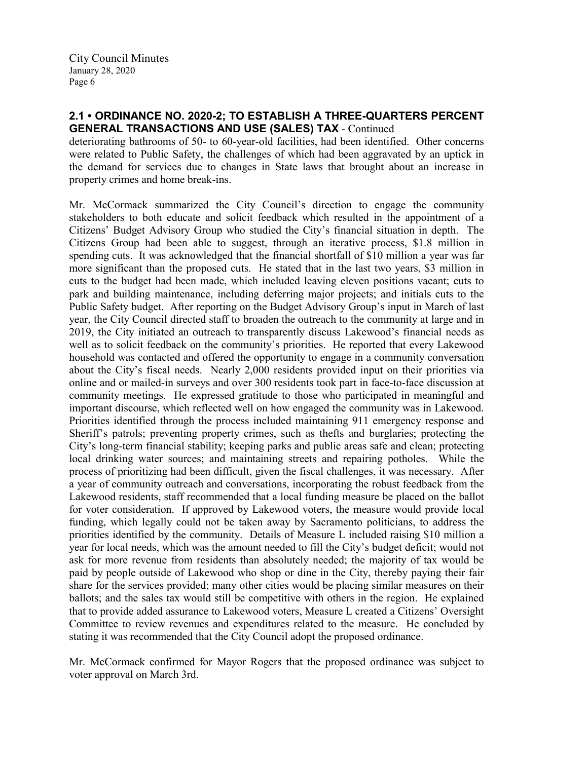## **2.1 • ORDINANCE NO. 2020-2; TO ESTABLISH A THREE-QUARTERS PERCENT GENERAL TRANSACTIONS AND USE (SALES) TAX** - Continued

deteriorating bathrooms of 50- to 60-year-old facilities, had been identified. Other concerns were related to Public Safety, the challenges of which had been aggravated by an uptick in the demand for services due to changes in State laws that brought about an increase in property crimes and home break-ins.

Mr. McCormack summarized the City Council's direction to engage the community stakeholders to both educate and solicit feedback which resulted in the appointment of a Citizens' Budget Advisory Group who studied the City's financial situation in depth. The Citizens Group had been able to suggest, through an iterative process, \$1.8 million in spending cuts. It was acknowledged that the financial shortfall of \$10 million a year was far more significant than the proposed cuts. He stated that in the last two years, \$3 million in cuts to the budget had been made, which included leaving eleven positions vacant; cuts to park and building maintenance, including deferring major projects; and initials cuts to the Public Safety budget. After reporting on the Budget Advisory Group's input in March of last year, the City Council directed staff to broaden the outreach to the community at large and in 2019, the City initiated an outreach to transparently discuss Lakewood's financial needs as well as to solicit feedback on the community's priorities. He reported that every Lakewood household was contacted and offered the opportunity to engage in a community conversation about the City's fiscal needs. Nearly 2,000 residents provided input on their priorities via online and or mailed-in surveys and over 300 residents took part in face-to-face discussion at community meetings. He expressed gratitude to those who participated in meaningful and important discourse, which reflected well on how engaged the community was in Lakewood. Priorities identified through the process included maintaining 911 emergency response and Sheriff's patrols; preventing property crimes, such as thefts and burglaries; protecting the City's long-term financial stability; keeping parks and public areas safe and clean; protecting local drinking water sources; and maintaining streets and repairing potholes. While the process of prioritizing had been difficult, given the fiscal challenges, it was necessary. After a year of community outreach and conversations, incorporating the robust feedback from the Lakewood residents, staff recommended that a local funding measure be placed on the ballot for voter consideration. If approved by Lakewood voters, the measure would provide local funding, which legally could not be taken away by Sacramento politicians, to address the priorities identified by the community. Details of Measure L included raising \$10 million a year for local needs, which was the amount needed to fill the City's budget deficit; would not ask for more revenue from residents than absolutely needed; the majority of tax would be paid by people outside of Lakewood who shop or dine in the City, thereby paying their fair share for the services provided; many other cities would be placing similar measures on their ballots; and the sales tax would still be competitive with others in the region. He explained that to provide added assurance to Lakewood voters, Measure L created a Citizens' Oversight Committee to review revenues and expenditures related to the measure. He concluded by stating it was recommended that the City Council adopt the proposed ordinance.

Mr. McCormack confirmed for Mayor Rogers that the proposed ordinance was subject to voter approval on March 3rd.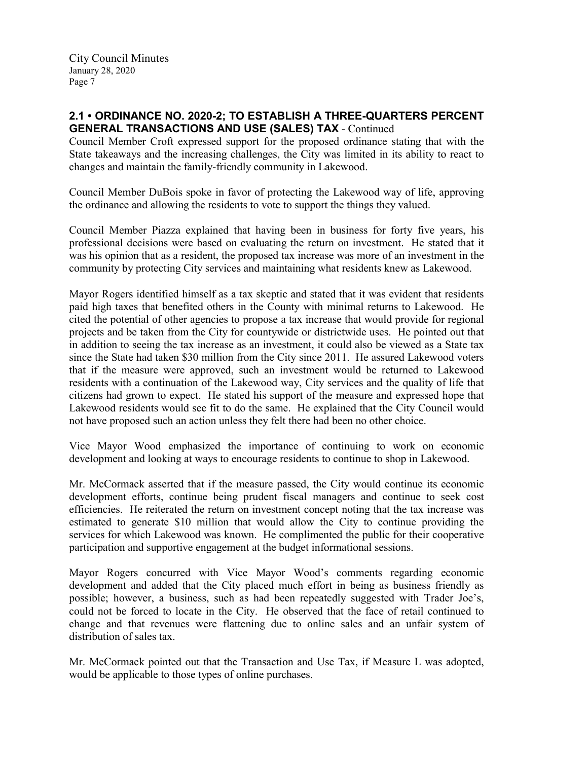# **2.1 • ORDINANCE NO. 2020-2; TO ESTABLISH A THREE-QUARTERS PERCENT GENERAL TRANSACTIONS AND USE (SALES) TAX** - Continued

Council Member Croft expressed support for the proposed ordinance stating that with the State takeaways and the increasing challenges, the City was limited in its ability to react to changes and maintain the family-friendly community in Lakewood.

Council Member DuBois spoke in favor of protecting the Lakewood way of life, approving the ordinance and allowing the residents to vote to support the things they valued.

Council Member Piazza explained that having been in business for forty five years, his professional decisions were based on evaluating the return on investment. He stated that it was his opinion that as a resident, the proposed tax increase was more of an investment in the community by protecting City services and maintaining what residents knew as Lakewood.

Mayor Rogers identified himself as a tax skeptic and stated that it was evident that residents paid high taxes that benefited others in the County with minimal returns to Lakewood. He cited the potential of other agencies to propose a tax increase that would provide for regional projects and be taken from the City for countywide or districtwide uses. He pointed out that in addition to seeing the tax increase as an investment, it could also be viewed as a State tax since the State had taken \$30 million from the City since 2011. He assured Lakewood voters that if the measure were approved, such an investment would be returned to Lakewood residents with a continuation of the Lakewood way, City services and the quality of life that citizens had grown to expect. He stated his support of the measure and expressed hope that Lakewood residents would see fit to do the same. He explained that the City Council would not have proposed such an action unless they felt there had been no other choice.

Vice Mayor Wood emphasized the importance of continuing to work on economic development and looking at ways to encourage residents to continue to shop in Lakewood.

Mr. McCormack asserted that if the measure passed, the City would continue its economic development efforts, continue being prudent fiscal managers and continue to seek cost efficiencies. He reiterated the return on investment concept noting that the tax increase was estimated to generate \$10 million that would allow the City to continue providing the services for which Lakewood was known. He complimented the public for their cooperative participation and supportive engagement at the budget informational sessions.

Mayor Rogers concurred with Vice Mayor Wood's comments regarding economic development and added that the City placed much effort in being as business friendly as possible; however, a business, such as had been repeatedly suggested with Trader Joe's, could not be forced to locate in the City. He observed that the face of retail continued to change and that revenues were flattening due to online sales and an unfair system of distribution of sales tax.

Mr. McCormack pointed out that the Transaction and Use Tax, if Measure L was adopted, would be applicable to those types of online purchases.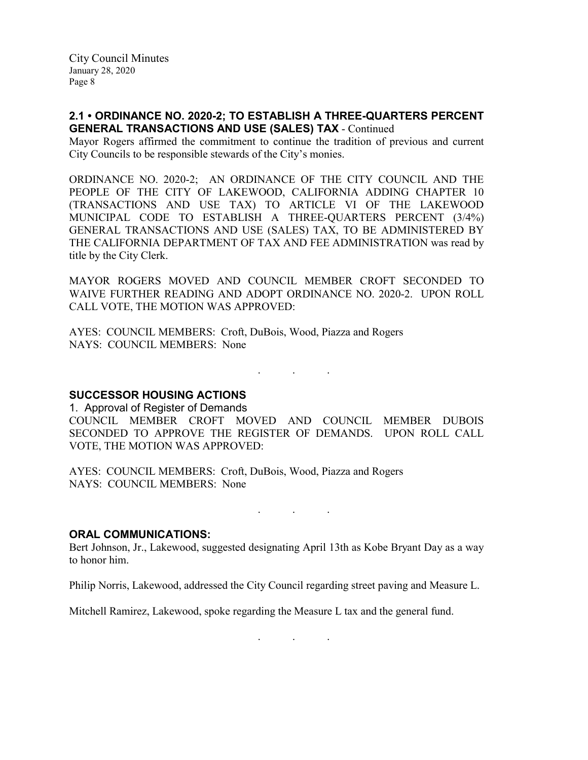### **2.1 • ORDINANCE NO. 2020-2; TO ESTABLISH A THREE-QUARTERS PERCENT GENERAL TRANSACTIONS AND USE (SALES) TAX** - Continued

Mayor Rogers affirmed the commitment to continue the tradition of previous and current City Councils to be responsible stewards of the City's monies.

ORDINANCE NO. 2020-2; AN ORDINANCE OF THE CITY COUNCIL AND THE PEOPLE OF THE CITY OF LAKEWOOD, CALIFORNIA ADDING CHAPTER 10 (TRANSACTIONS AND USE TAX) TO ARTICLE VI OF THE LAKEWOOD MUNICIPAL CODE TO ESTABLISH A THREE-QUARTERS PERCENT (3/4%) GENERAL TRANSACTIONS AND USE (SALES) TAX, TO BE ADMINISTERED BY THE CALIFORNIA DEPARTMENT OF TAX AND FEE ADMINISTRATION was read by title by the City Clerk.

MAYOR ROGERS MOVED AND COUNCIL MEMBER CROFT SECONDED TO WAIVE FURTHER READING AND ADOPT ORDINANCE NO. 2020-2. UPON ROLL CALL VOTE, THE MOTION WAS APPROVED:

AYES: COUNCIL MEMBERS: Croft, DuBois, Wood, Piazza and Rogers NAYS: COUNCIL MEMBERS: None

**SUCCESSOR HOUSING ACTIONS** 1. Approval of Register of Demands

COUNCIL MEMBER CROFT MOVED AND COUNCIL MEMBER DUBOIS SECONDED TO APPROVE THE REGISTER OF DEMANDS. UPON ROLL CALL VOTE, THE MOTION WAS APPROVED:

. . .

AYES: COUNCIL MEMBERS: Croft, DuBois, Wood, Piazza and Rogers NAYS: COUNCIL MEMBERS: None

 $\mathbf{r}$  .  $\mathbf{r}$  ,  $\mathbf{r}$  ,  $\mathbf{r}$  ,  $\mathbf{r}$  ,  $\mathbf{r}$  ,  $\mathbf{r}$ 

#### **ORAL COMMUNICATIONS:**

Bert Johnson, Jr., Lakewood, suggested designating April 13th as Kobe Bryant Day as a way to honor him.

Philip Norris, Lakewood, addressed the City Council regarding street paving and Measure L.

Mitchell Ramirez, Lakewood, spoke regarding the Measure L tax and the general fund.

. . .